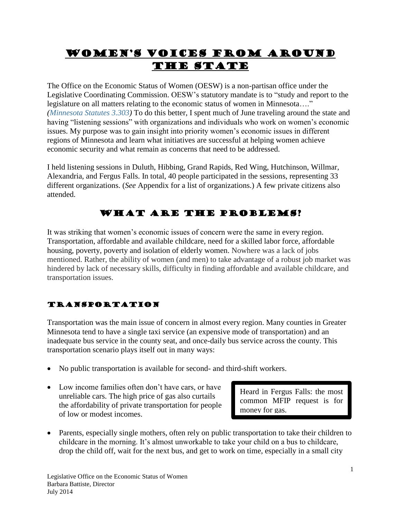# Women's Voices From Around the State

The Office on the Economic Status of Women (OESW) is a non-partisan office under the Legislative Coordinating Commission. OESW's statutory mandate is to "study and report to the legislature on all matters relating to the economic status of women in Minnesota…." *[\(Minnesota](http://www.revisor.leg.state.mn.us/stats/3/303.html) Statutes 3.303)* To do this better, I spent much of June traveling around the state and having "listening sessions" with organizations and individuals who work on women's economic issues. My purpose was to gain insight into priority women's economic issues in different regions of Minnesota and learn what initiatives are successful at helping women achieve economic security and what remain as concerns that need to be addressed.

I held listening sessions in Duluth, Hibbing, Grand Rapids, Red Wing, Hutchinson, Willmar, Alexandria, and Fergus Falls. In total, 40 people participated in the sessions, representing 33 different organizations. (*See* Appendix for a list of organizations.) A few private citizens also attended.

# What are the problems?

It was striking that women's economic issues of concern were the same in every region. Transportation, affordable and available childcare, need for a skilled labor force, affordable housing, poverty, poverty and isolation of elderly women. Nowhere was a lack of jobs mentioned. Rather, the ability of women (and men) to take advantage of a robust job market was hindered by lack of necessary skills, difficulty in finding affordable and available childcare, and transportation issues.

# Transportation

Transportation was the main issue of concern in almost every region. Many counties in Greater Minnesota tend to have a single taxi service (an expensive mode of transportation) and an inadequate bus service in the county seat, and once-daily bus service across the county. This transportation scenario plays itself out in many ways:

- No public transportation is available for second- and third-shift workers.
- Low income families often don't have cars, or have unreliable cars. The high price of gas also curtails the affordability of private transportation for people of low or modest incomes.

Heard in Fergus Falls: the most common MFIP request is for money for gas.

• Parents, especially single mothers, often rely on public transportation to take their children to childcare in the morning. It's almost unworkable to take your child on a bus to childcare, drop the child off, wait for the next bus, and get to work on time, especially in a small city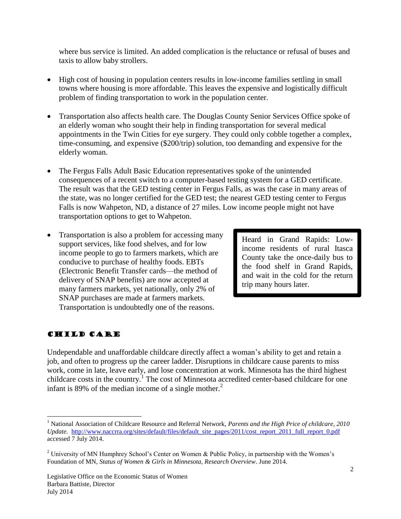where bus service is limited. An added complication is the reluctance or refusal of buses and taxis to allow baby strollers.

- High cost of housing in population centers results in low-income families settling in small towns where housing is more affordable. This leaves the expensive and logistically difficult problem of finding transportation to work in the population center.
- Transportation also affects health care. The Douglas County Senior Services Office spoke of an elderly woman who sought their help in finding transportation for several medical appointments in the Twin Cities for eye surgery. They could only cobble together a complex, time-consuming, and expensive (\$200/trip) solution, too demanding and expensive for the elderly woman.
- The Fergus Falls Adult Basic Education representatives spoke of the unintended consequences of a recent switch to a computer-based testing system for a GED certificate. The result was that the GED testing center in Fergus Falls, as was the case in many areas of the state, was no longer certified for the GED test; the nearest GED testing center to Fergus Falls is now Wahpeton, ND, a distance of 27 miles. Low income people might not have transportation options to get to Wahpeton.
- Transportation is also a problem for accessing many support services, like food shelves, and for low income people to go to farmers markets, which are conducive to purchase of healthy foods. EBTs (Electronic Benefit Transfer cards—the method of delivery of SNAP benefits) are now accepted at many farmers markets, yet nationally, only 2% of SNAP purchases are made at farmers markets. Transportation is undoubtedly one of the reasons.

Heard in Grand Rapids: Lowincome residents of rural Itasca County take the once-daily bus to the food shelf in Grand Rapids, and wait in the cold for the return trip many hours later.

## Child Care

 $\overline{a}$ 

Undependable and unaffordable childcare directly affect a woman's ability to get and retain a job, and often to progress up the career ladder. Disruptions in childcare cause parents to miss work, come in late, leave early, and lose concentration at work. Minnesota has the third highest childcare costs in the country.<sup>1</sup> The cost of Minnesota accredited center-based childcare for one infant is 89% of the median income of a single mother. $<sup>2</sup>$ </sup>

<sup>1</sup> National Association of Childcare Resource and Referral Network, *Parents and the High Price of childcare, 2010 Update.* [http://www.naccrra.org/sites/default/files/default\\_site\\_pages/2011/cost\\_report\\_2011\\_full\\_report\\_0.pdf](http://www.naccrra.org/sites/default/files/default_site_pages/2011/cost_report_2011_full_report_0.pdf) accessed 7 July 2014.

<sup>&</sup>lt;sup>2</sup> University of MN Humphrey School's Center on Women & Public Policy, in partnership with the Women's Foundation of MN, *Status of Women & Girls in Minnesota, Research Overview*. June 2014.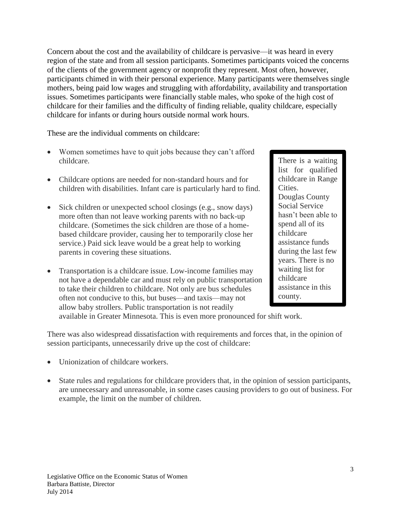Concern about the cost and the availability of childcare is pervasive—it was heard in every region of the state and from all session participants. Sometimes participants voiced the concerns of the clients of the government agency or nonprofit they represent. Most often, however, participants chimed in with their personal experience. Many participants were themselves single mothers, being paid low wages and struggling with affordability, availability and transportation issues. Sometimes participants were financially stable males, who spoke of the high cost of childcare for their families and the difficulty of finding reliable, quality childcare, especially childcare for infants or during hours outside normal work hours.

These are the individual comments on childcare:

- Women sometimes have to quit jobs because they can't afford childcare.
- Childcare options are needed for non-standard hours and for children with disabilities. Infant care is particularly hard to find.
- Sick children or unexpected school closings (e.g., snow days) more often than not leave working parents with no back-up childcare. (Sometimes the sick children are those of a homebased childcare provider, causing her to temporarily close her service.) Paid sick leave would be a great help to working parents in covering these situations.
- Transportation is a childcare issue. Low-income families may not have a dependable car and must rely on public transportation to take their children to childcare. Not only are bus schedules often not conducive to this, but buses—and taxis—may not allow baby strollers. Public transportation is not readily

There is a waiting list for qualified childcare in Range Cities. Douglas County Social Service hasn't been able to spend all of its childcare assistance funds during the last few years. There is no waiting list for childcare assistance in this county.

available in Greater Minnesota. This is even more pronounced for shift work.

There was also widespread dissatisfaction with requirements and forces that, in the opinion of session participants, unnecessarily drive up the cost of childcare:

- Unionization of childcare workers.
- State rules and regulations for childcare providers that, in the opinion of session participants, are unnecessary and unreasonable, in some cases causing providers to go out of business. For example, the limit on the number of children.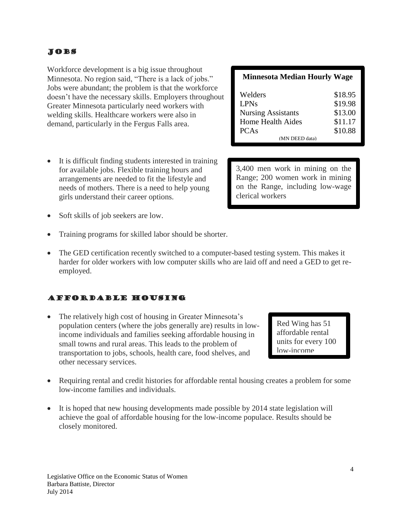## Jobs

Workforce development is a big issue throughout Minnesota. No region said, "There is a lack of jobs." Jobs were abundant; the problem is that the workforce doesn't have the necessary skills. Employers throughout Greater Minnesota particularly need workers with welding skills. Healthcare workers were also in demand, particularly in the Fergus Falls area.

- It is difficult finding students interested in training for available jobs. Flexible training hours and arrangements are needed to fit the lifestyle and needs of mothers. There is a need to help young girls understand their career options.
- Soft skills of job seekers are low.
- Training programs for skilled labor should be shorter.
- The GED certification recently switched to a computer-based testing system. This makes it harder for older workers with low computer skills who are laid off and need a GED to get reemployed.

## Affordable Housing

- The relatively high cost of housing in Greater Minnesota's population centers (where the jobs generally are) results in lowincome individuals and families seeking affordable housing in small towns and rural areas. This leads to the problem of transportation to jobs, schools, health care, food shelves, and other necessary services.
- Requiring rental and credit histories for affordable rental housing creates a problem for some low-income families and individuals.
- It is hoped that new housing developments made possible by 2014 state legislation will achieve the goal of affordable housing for the low-income populace. Results should be closely monitored.

| <b>Minnesota Median Hourly Wage</b> |         |
|-------------------------------------|---------|
| Welders                             | \$18.95 |
| <b>LPNs</b>                         | \$19.98 |
| <b>Nursing Assistants</b>           | \$13.00 |
| Home Health Aides                   | \$11.17 |
| <b>PCAs</b>                         | \$10.88 |
| (MN DEED data)                      |         |

3,400 men work in mining on the Range; 200 women work in mining on the Range, including low-wage clerical workers

> Red Wing has 51 affordable rental units for every 100 low-income

families.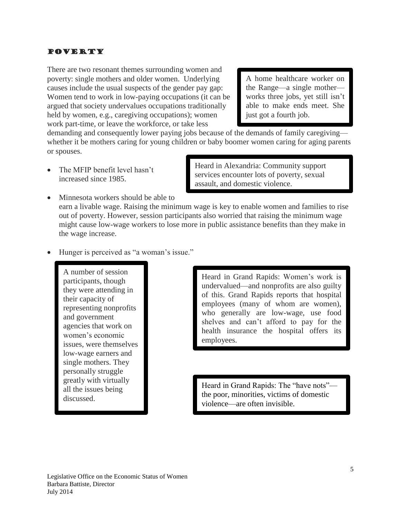#### **POVERTY**

There are two resonant themes surrounding women and poverty: single mothers and older women. Underlying causes include the usual suspects of the gender pay gap: Women tend to work in low-paying occupations (it can be argued that society undervalues occupations traditionally held by women, e.g., caregiving occupations); women work part-time, or leave the workforce, or take less

A home healthcare worker on the Range—a single mother works three jobs, yet still isn't able to make ends meet. She just got a fourth job.

demanding and consequently lower paying jobs because of the demands of family caregiving whether it be mothers caring for young children or baby boomer women caring for aging parents or spouses.

 The MFIP benefit level hasn't increased since 1985.

Heard in Alexandria: Community support services encounter lots of poverty, sexual assault, and domestic violence.

- Minnesota workers should be able to earn a livable wage. Raising the minimum wage is key to enable women and families to rise out of poverty. However, session participants also worried that raising the minimum wage might cause low-wage workers to lose more in public assistance benefits than they make in the wage increase.
- Hunger is perceived as "a woman's issue."

A number of session participants, though they were attending in their capacity of representing nonprofits and government agencies that work on women's economic issues, were themselves low-wage earners and single mothers. They personally struggle greatly with virtually all the issues being discussed.

Heard in Grand Rapids: Women's work is undervalued—and nonprofits are also guilty of this. Grand Rapids reports that hospital employees (many of whom are women), who generally are low-wage, use food shelves and can't afford to pay for the health insurance the hospital offers its employees.

Heard in Grand Rapids: The "have nots" the poor, minorities, victims of domestic violence—are often invisible.

Public assistance programs may be a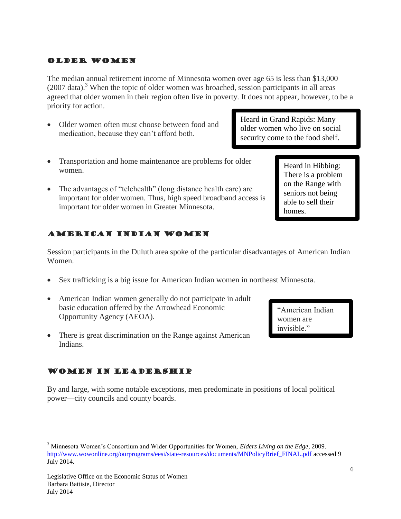#### Older Women

The median annual retirement income of Minnesota women over age 65 is less than \$13,000  $(2007 \text{ data})^3$ . When the topic of older women was broached, session participants in all areas agreed that older women in their region often live in poverty. It does not appear, however, to be a priority for action.

 Older women often must choose between food and medication, because they can't afford both.

Heard in Grand Rapids: Many older women who live on social security come to the food shelf.

- Transportation and home maintenance are problems for older women.
- The advantages of "telehealth" (long distance health care) are important for older women. Thus, high speed broadband access is important for older women in Greater Minnesota.

# American Indian Women

Session participants in the Duluth area spoke of the particular disadvantages of American Indian Women.

- Sex trafficking is a big issue for American Indian women in northeast Minnesota.
- American Indian women generally do not participate in adult basic education offered by the Arrowhead Economic Opportunity Agency (AEOA).
- There is great discrimination on the Range against American Indians.

## Women in Leadership

By and large, with some notable exceptions, men predominate in positions of local political power—city councils and county boards.

 $\overline{a}$ 

Heard in Hibbing: There is a problem on the Range with seniors not being able to sell their homes.

"American Indian women are invisible."

<sup>3</sup> Minnesota Women's Consortium and Wider Opportunities for Women, *Elders Living on the Edge*, 2009. [http://www.wowonline.org/ourprograms/eesi/state-resources/documents/MNPolicyBrief\\_FINAL.pdf](http://www.wowonline.org/ourprograms/eesi/state-resources/documents/MNPolicyBrief_FINAL.pdf) accessed 9 July 2014.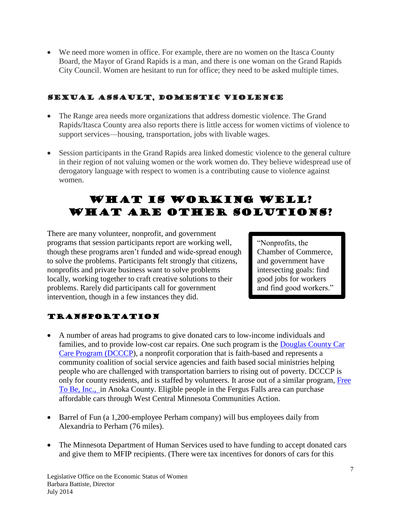We need more women in office. For example, there are no women on the Itasca County Board, the Mayor of Grand Rapids is a man, and there is one woman on the Grand Rapids City Council. Women are hesitant to run for office; they need to be asked multiple times.

# Sexual Assault, Domestic Violence

- The Range area needs more organizations that address domestic violence. The Grand Rapids/Itasca County area also reports there is little access for women victims of violence to support services—housing, transportation, jobs with livable wages.
- Session participants in the Grand Rapids area linked domestic violence to the general culture in their region of not valuing women or the work women do. They believe widespread use of derogatory language with respect to women is a contributing cause to violence against women.

# WHAT IS WORKING WELL? What are other solutions?

There are many volunteer, nonprofit, and government programs that session participants report are working well, though these programs aren't funded and wide-spread enough to solve the problems. Participants felt strongly that citizens, nonprofits and private business want to solve problems locally, working together to craft creative solutions to their problems. Rarely did participants call for government intervention, though in a few instances they did.

"Nonprofits, the Chamber of Commerce, and government have intersecting goals: find good jobs for workers and find good workers."

# Transportation

- A number of areas had programs to give donated cars to low-income individuals and families, and to provide low-cost car repairs. One such program is the [Douglas County Car](http://www.douglascountycarcare.org/)  [Care Program \(DCCCP\)](http://www.douglascountycarcare.org/), a nonprofit corporation that is faith-based and represents a community coalition of social service agencies and faith based social ministries helping people who are challenged with transportation barriers to rising out of poverty. DCCCP is only for county residents, and is staffed by volunteers. It arose out of a similar program, [Free](http://freetobeinc.org/apply-to-receive-a-vehicle/)  [To Be, Inc.,](http://freetobeinc.org/apply-to-receive-a-vehicle/) in Anoka County. Eligible people in the Fergus Falls area can purchase affordable cars through West Central Minnesota Communities Action.
- Barrel of Fun (a 1,200-employee Perham company) will bus employees daily from Alexandria to Perham (76 miles).
- The Minnesota Department of Human Services used to have funding to accept donated cars and give them to MFIP recipients. (There were tax incentives for donors of cars for this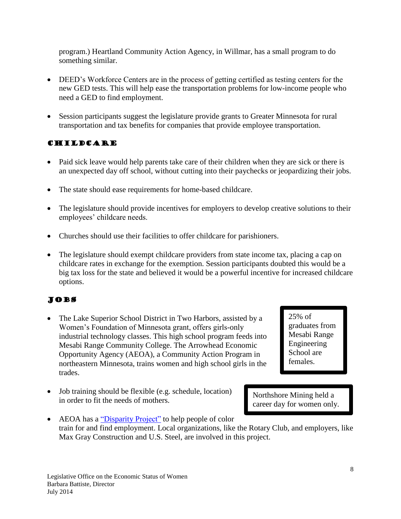program.) Heartland Community Action Agency, in Willmar, has a small program to do something similar.

- DEED's Workforce Centers are in the process of getting certified as testing centers for the new GED tests. This will help ease the transportation problems for low-income people who need a GED to find employment.
- Session participants suggest the legislature provide grants to Greater Minnesota for rural transportation and tax benefits for companies that provide employee transportation.

# Childcare

- Paid sick leave would help parents take care of their children when they are sick or there is an unexpected day off school, without cutting into their paychecks or jeopardizing their jobs.
- The state should ease requirements for home-based childcare.
- The legislature should provide incentives for employers to develop creative solutions to their employees' childcare needs.
- Churches should use their facilities to offer childcare for parishioners.
- The legislature should exempt childcare providers from state income tax, placing a cap on childcare rates in exchange for the exemption. Session participants doubted this would be a big tax loss for the state and believed it would be a powerful incentive for increased childcare options.

# Jobs

- The Lake Superior School District in Two Harbors, assisted by a Women's Foundation of Minnesota grant, offers girls-only industrial technology classes. This high school program feeds into Mesabi Range Community College. The Arrowhead Economic Opportunity Agency (AEOA), a Community Action Program in northeastern Minnesota, trains women and high school girls in the trades.
- Job training should be flexible (e.g. schedule, location) in order to fit the needs of mothers.

25% of graduates from Mesabi Range Engineering School are females.

Northshore Mining held a career day for women only.

• AEOA has a ["Disparity Project"](http://www.hibbingmn.com/news/article_422d11f8-8113-11e1-a1b5-0019bb2963f4.html) to help people of color train for and find employment. Local organizations, like the Rotary Club, and employers, like Max Gray Construction and U.S. Steel, are involved in this project.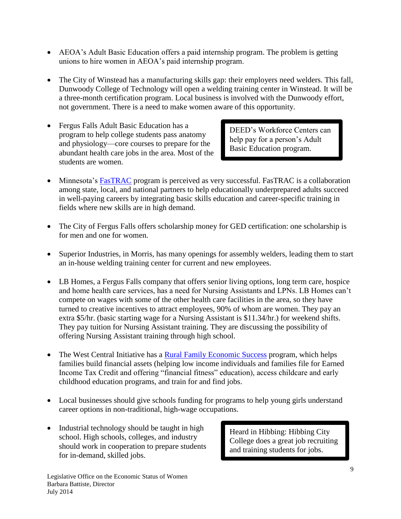- AEOA's Adult Basic Education offers a paid internship program. The problem is getting unions to hire women in AEOA's paid internship program.
- The City of Winstead has a manufacturing skills gap: their employers need welders. This fall, Dunwoody College of Technology will open a welding training center in Winstead. It will be a three-month certification program. Local business is involved with the Dunwoody effort, not government. There is a need to make women aware of this opportunity.
- Fergus Falls Adult Basic Education has a program to help college students pass anatomy and physiology—core courses to prepare for the abundant health care jobs in the area. Most of the students are women.

DEED's Workforce Centers can help pay for a person's Adult Basic Education program.

- Minnesota's [FasTRAC](http://www.mnfasttrac.org/about.html) program is perceived as very successful. FasTRAC is a collaboration among state, local, and national partners to help educationally underprepared adults succeed in well-paying careers by integrating basic skills education and career-specific training in fields where new skills are in high demand.
- The City of Fergus Falls offers scholarship money for GED certification: one scholarship is for men and one for women.
- Superior Industries, in Morris, has many openings for assembly welders, leading them to start an in-house welding training center for current and new employees.
- LB Homes, a Fergus Falls company that offers senior living options, long term care, hospice and home health care services, has a need for Nursing Assistants and LPNs. LB Homes can't compete on wages with some of the other health care facilities in the area, so they have turned to creative incentives to attract employees, 90% of whom are women. They pay an extra \$5/hr. (basic starting wage for a Nursing Assistant is \$11.34/hr.) for weekend shifts. They pay tuition for Nursing Assistant training. They are discussing the possibility of offering Nursing Assistant training through high school.
- The West Central Initiative has a [Rural Family Economic Success](http://wcif.org/what-we-do/programs/fes.html) program, which helps families build financial assets (helping low income individuals and families file for Earned Income Tax Credit and offering "financial fitness" education), access childcare and early childhood education programs, and train for and find jobs.
- Local businesses should give schools funding for programs to help young girls understand career options in non-traditional, high-wage occupations.
- Industrial technology should be taught in high school. High schools, colleges, and industry should work in cooperation to prepare students for in-demand, skilled jobs.

Heard in Hibbing: Hibbing City College does a great job recruiting and training students for jobs.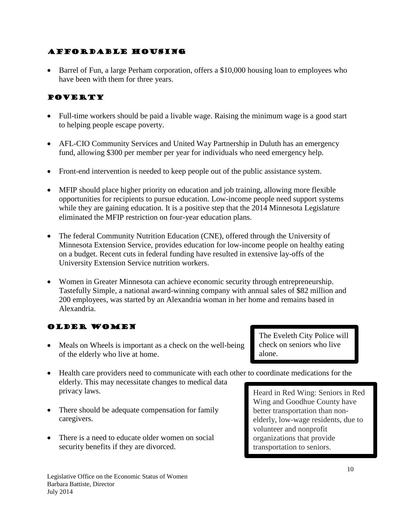## Affordable Housing

 Barrel of Fun, a large Perham corporation, offers a \$10,000 housing loan to employees who have been with them for three years.

# **POVERTY**

- Full-time workers should be paid a livable wage. Raising the minimum wage is a good start to helping people escape poverty.
- AFL-CIO Community Services and United Way Partnership in Duluth has an emergency fund, allowing \$300 per member per year for individuals who need emergency help.
- Front-end intervention is needed to keep people out of the public assistance system.
- MFIP should place higher priority on education and job training, allowing more flexible opportunities for recipients to pursue education. Low-income people need support systems while they are gaining education. It is a positive step that the 2014 Minnesota Legislature eliminated the MFIP restriction on four-year education plans.
- The federal Community Nutrition Education (CNE), offered through the University of Minnesota Extension Service, provides education for low-income people on healthy eating on a budget. Recent cuts in federal funding have resulted in extensive lay-offs of the University Extension Service nutrition workers.
- Women in Greater Minnesota can achieve economic security through entrepreneurship. Tastefully Simple, a national award-winning company with annual sales of \$82 million and 200 employees, was started by an Alexandria woman in her home and remains based in Alexandria.

## Older Women

- Meals on Wheels is important as a check on the well-being of the elderly who live at home.
- Health care providers need to communicate with each other to coordinate medications for the elderly. This may necessitate changes to medical data privacy laws.
- There should be adequate compensation for family caregivers.
- There is a need to educate older women on social security benefits if they are divorced.

The Eveleth City Police will check on seniors who live alone.

Heard in Red Wing: Seniors in Red Wing and Goodhue County have better transportation than nonelderly, low-wage residents, due to volunteer and nonprofit organizations that provide transportation to seniors.